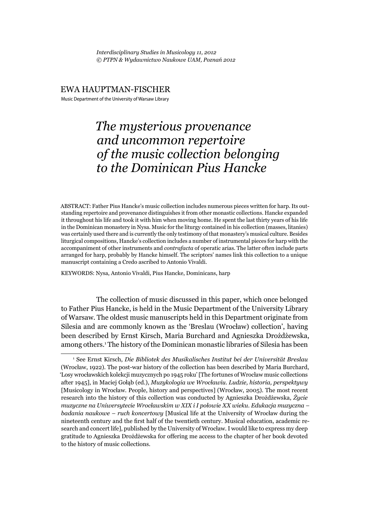*Interdisciplinary Studies in Musicology 11, 2012 © PTPN & Wydawnictwo Naukowe UAM, Poznań 2012*

#### EWA HAUPTMAN-FISCHER

Music Department of the University of Warsaw Library

# *The mysterious provenance and uncommon repertoire of the music collection belonging to the Dominican Pius Hancke*

ABSTRACT: Father Pius Hancke's music collection includes numerous pieces written for harp. Its outstanding repertoire and provenance distinguishes it from other monastic collections. Hancke expanded it throughout his life and took it with him when moving home. He spent the last thirty years of his life in the Dominican monastery in Nysa. Music for the liturgy contained in his collection (masses, litanies) was certainly used there and is currently the only testimony of that monastery's musical culture. Besides liturgical compositions, Hancke's collection includes a number of instrumental pieces for harp with the accompaniment of other instruments and *contrafacta* of operatic arias. The latter often include parts arranged for harp, probably by Hancke himself. The scriptors' names link this collection to a unique manuscript containing a Credo ascribed to Antonio Vivaldi.

KEYWORDS: Nysa, Antonio Vivaldi, Pius Hancke, Dominicans, harp

The collection of music discussed in this paper, which once belonged to Father Pius Hancke, is held in the Music Department of the University Library of Warsaw. The oldest music manuscripts held in this Department originate from Silesia and are commonly known as the 'Breslau (Wrocław) collection', having been described by Ernst Kirsch, Maria Burchard and Agnieszka Drożdżewska, among others.1 The history of the Dominican monastic libraries of Silesia has been

<sup>1</sup> See Ernst Kirsch, *Die Bibliotek des Musikalisches Institut bei der Universität Breslau* (Wrocław, 1922). The post-war history of the collection has been described by Maria Burchard, 'Losy wrocławskich kolekcji muzycznych po 1945 roku' [The fortunes of Wrocław music collections after 1945], in Maciej Gołąb (ed.), *Muzykologia we Wrocławiu. Ludzie, historia, perspektywy*  [Musicology in Wrocław. People, history and perspectives] (Wrocław, 2005). The most recent research into the history of this collection was conducted by Agnieszka Drożdżewska, *Życie muzyczne na Uniwersytecie Wrocławskim w XIX i I połowie XX wieku. Edukacja muzyczna – badania naukowe – ruch koncertowy* [Musical life at the University of Wrocław during the nineteenth century and the first half of the twentieth century. Musical education, academic research and concert life], published by the University of Wrocław. I would like to express my deep gratitude to Agnieszka Drożdżewska for offering me access to the chapter of her book devoted to the history of music collections.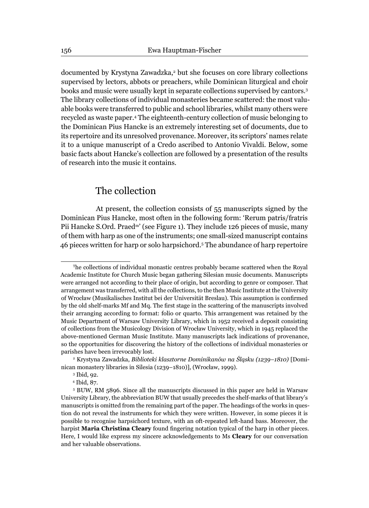documented by Krystyna Zawadzka,2 but she focuses on core library collections supervised by lectors, abbots or preachers, while Dominican liturgical and choir books and music were usually kept in separate collections supervised by cantors.3 The library collections of individual monasteries became scattered: the most valuable books were transferred to public and school libraries, whilst many others were recycled as waste paper.4 The eighteenth-century collection of music belonging to the Dominican Pius Hancke is an extremely interesting set of documents, due to its repertoire and its unresolved provenance. Moreover, its scriptors' names relate it to a unique manuscript of a Credo ascribed to Antonio Vivaldi. Below, some basic facts about Hancke's collection are followed by a presentation of the results of research into the music it contains.

# The collection

At present, the collection consists of 55 manuscripts signed by the Dominican Pius Hancke, most often in the following form: 'Rerum patris/fratris Pii Hancke S.Ord. Praed<sup>m'</sup> (see Figure 1). They include 126 pieces of music, many of them with harp as one of the instruments; one small-sized manuscript contains 46 pieces written for harp or solo harpsichord.5 The abundance of harp repertoire

The collections of individual monastic centres probably became scattered when the Royal Academic Institute for Church Music began gathering Silesian music documents. Manuscripts were arranged not according to their place of origin, but according to genre or composer. That arrangement was transferred, with all the collections, to the then Music Institute at the University of Wrocław (Musikalisches Institut bei der Universität Breslau). This assumption is confirmed by the old shelf-marks Mf and Mq. The first stage in the scattering of the manuscripts involved their arranging according to format: folio or quarto. This arrangement was retained by the Music Department of Warsaw University Library, which in 1952 received a deposit consisting of collections from the Musicology Division of Wrocław University, which in 1945 replaced the above-mentioned German Music Institute. Many manuscripts lack indications of provenance, so the opportunities for discovering the history of the collections of individual monasteries or parishes have been irrevocably lost.

<sup>2</sup> Krystyna Zawadzka, *Biblioteki klasztorne Dominikanów na Śląsku (1239–1810)* [Dominican monastery libraries in Silesia (1239–1810)], (Wrocław, 1999).

<sup>3</sup> Ibid, 92.

<sup>4</sup> Ibid, 87.

<sup>5</sup> BUW, RM 5896. Since all the manuscripts discussed in this paper are held in Warsaw University Library, the abbreviation BUW that usually precedes the shelf-marks of that library's manuscripts is omitted from the remaining part of the paper. The headings of the works in question do not reveal the instruments for which they were written. However, in some pieces it is possible to recognise harpsichord texture, with an oft-repeated left-hand bass. Moreover, the harpist **Maria Christina Cleary** found fingering notation typical of the harp in other pieces. Here, I would like express my sincere acknowledgements to Ms **Cleary** for our conversation and her valuable observations.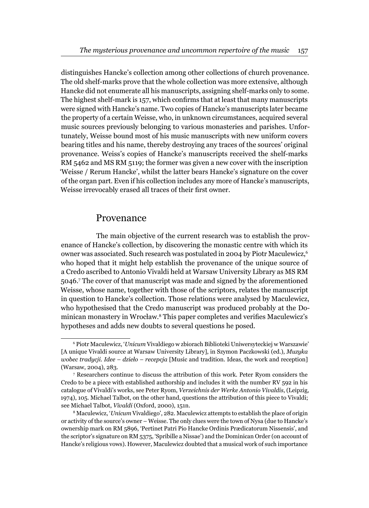distinguishes Hancke's collection among other collections of church provenance. The old shelf-marks prove that the whole collection was more extensive, although Hancke did not enumerate all his manuscripts, assigning shelf-marks only to some. The highest shelf-mark is 157, which confirms that at least that many manuscripts were signed with Hancke's name. Two copies of Hancke's manuscripts later became the property of a certain Weisse, who, in unknown circumstances, acquired several music sources previously belonging to various monasteries and parishes. Unfortunately, Weisse bound most of his music manuscripts with new uniform covers bearing titles and his name, thereby destroying any traces of the sources' original provenance. Weiss's copies of Hancke's manuscripts received the shelf-marks RM 5462 and MS RM 5119; the former was given a new cover with the inscription 'Weisse / Rerum Hancke', whilst the latter bears Hancke's signature on the cover of the organ part. Even if his collection includes any more of Hancke's manuscripts, Weisse irrevocably erased all traces of their first owner.

#### Provenance

The main objective of the current research was to establish the provenance of Hancke's collection, by discovering the monastic centre with which its owner was associated. Such research was postulated in 2004 by Piotr Maculewicz,6 who hoped that it might help establish the provenance of the unique source of a Credo ascribed to Antonio Vivaldi held at Warsaw University Library as MS RM 5046.7 The cover of that manuscript was made and signed by the aforementioned Weisse, whose name, together with those of the scriptors, relates the manuscript in question to Hancke's collection. Those relations were analysed by Maculewicz, who hypothesised that the Credo manuscript was produced probably at the Dominican monastery in Wrocław.<sup>8</sup> This paper completes and verifies Maculewicz's hypotheses and adds new doubts to several questions he posed.

<sup>6</sup> Piotr Maculewicz, '*Unicum* Vivaldiego w zbiorach Biblioteki Uniwersyteckiej w Warszawie' [A unique Vivaldi source at Warsaw University Library], in Szymon Paczkowski (ed.), *Muzyka wobec tradycji. Idee – dzieło – recepcja* [Music and tradition. Ideas, the work and reception] (Warsaw, 2004), 283.

<sup>7</sup> Researchers continue to discuss the attribution of this work. Peter Ryom considers the Credo to be a piece with established authorship and includes it with the number RV 592 in his catalogue of Vivaldi's works, see Peter Ryom, *Verzeichnis der Werke Antonio Vivaldis*, (Leipzig, 1974), 105. Michael Talbot, on the other hand, questions the attribution of this piece to Vivaldi; see Michael Talbot, *Vivaldi* (Oxford, 2000), 151n.

<sup>8</sup> Maculewicz, '*Unicum* Vivaldiego', 282. Maculewicz attempts to establish the place of origin or activity of the source's owner – Weisse. The only clues were the town of Nysa (due to Hancke's ownership mark on RM 5896, 'Pertinet Patri Pio Hancke Ordinis Prædicatorum Nissensis', and the scriptor's signature on RM 5375, 'Spribille a Nissae') and the Dominican Order (on account of Hancke's religious vows). However, Maculewicz doubted that a musical work of such importance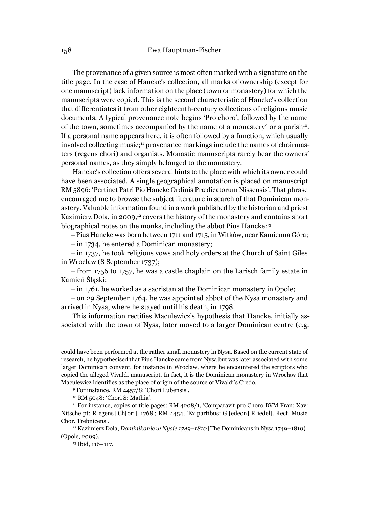The provenance of a given source is most often marked with a signature on the title page. In the case of Hancke's collection, all marks of ownership (except for one manuscript) lack information on the place (town or monastery) for which the manuscripts were copied. This is the second characteristic of Hancke's collection that differentiates it from other eighteenth-century collections of religious music documents. A typical provenance note begins 'Pro choro', followed by the name of the town, sometimes accompanied by the name of a monastery<sup>9</sup> or a parish<sup>10</sup>. If a personal name appears here, it is often followed by a function, which usually involved collecting music;<sup>11</sup> provenance markings include the names of choirmasters (regens chori) and organists. Monastic manuscripts rarely bear the owners' personal names, as they simply belonged to the monastery.

Hancke's collection offers several hints to the place with which its owner could have been associated. A single geographical annotation is placed on manuscript RM 5896: 'Pertinet Patri Pio Hancke Ordinis Prædicatorum Nissensis'. That phrase encouraged me to browse the subject literature in search of that Dominican monastery. Valuable information found in a work published by the historian and priest Kazimierz Dola, in 2009,<sup>12</sup> covers the history of the monastery and contains short biographical notes on the monks, including the abbot Pius Hancke:<sup>13</sup>

– Pius Hancke was born between 1711 and 1715, in Witków, near Kamienna Góra;

– in 1734, he entered a Dominican monastery;

– in 1737, he took religious vows and holy orders at the Church of Saint Giles in Wrocław (8 September 1737);

– from 1756 to 1757, he was a castle chaplain on the Larisch family estate in Kamień Śląski;

– in 1761, he worked as a sacristan at the Dominican monastery in Opole;

– on 29 September 1764, he was appointed abbot of the Nysa monastery and arrived in Nysa, where he stayed until his death, in 1798.

This information rectifies Maculewicz's hypothesis that Hancke, initially associated with the town of Nysa, later moved to a larger Dominican centre (e.g.

could have been performed at the rather small monastery in Nysa. Based on the current state of research, he hypothesised that Pius Hancke came from Nysa but was later associated with some larger Dominican convent, for instance in Wrocław, where he encountered the scriptors who copied the alleged Vivaldi manuscript. In fact, it is the Dominican monastery in Wrocław that Maculewicz identifies as the place of origin of the source of Vivaldi's Credo.

<sup>9</sup> For instance, RM 4457/8: 'Chori Lubensis'.

<sup>10</sup> RM 5048: 'Chori S: Mathia'.

<sup>&</sup>lt;sup>11</sup> For instance, copies of title pages: RM 4208/1, 'Comparavit pro Choro BVM Fran: Xav: Nitsche pt: R[egens] Ch[ori]. 1768'; RM 4454, 'Ex partibus: G.[edeon] R[iedel]. Rect. Music. Chor. Trebnicens'.

<sup>12</sup> Kazimierz Dola, *Dominikanie w Nysie 1749–1810* [The Dominicans in Nysa 1749–1810)] (Opole, 2009).

<sup>13</sup> Ibid, 116–117.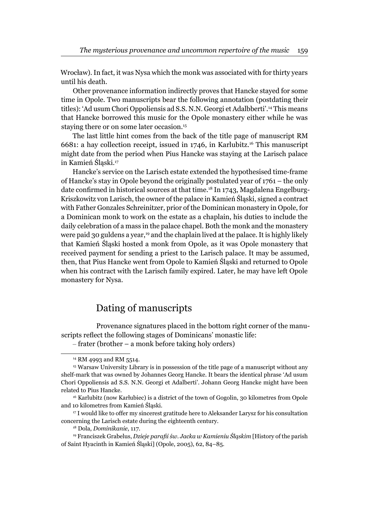Wrocław). In fact, it was Nysa which the monk was associated with for thirty years until his death.

Other provenance information indirectly proves that Hancke stayed for some time in Opole. Two manuscripts bear the following annotation (postdating their titles): 'Ad usum Chori Oppoliensis ad S.S. N.N. Georgi et Adalbberti'.14 This means that Hancke borrowed this music for the Opole monastery either while he was staying there or on some later occasion.<sup>15</sup>

The last little hint comes from the back of the title page of manuscript RM 6681: a hay collection receipt, issued in 1746, in Karlubitz.16 This manuscript might date from the period when Pius Hancke was staying at the Larisch palace in Kamień Śląski.17

Hancke's service on the Larisch estate extended the hypothesised time-frame of Hancke's stay in Opole beyond the originally postulated year of 1761 – the only date confirmed in historical sources at that time.<sup>18</sup> In 1743, Magdalena Engelburg-Kriszkowitz von Larisch, the owner of the palace in Kamień Śląski, signed a contract with Father Gonzales Schreinitzer, prior of the Dominican monastery in Opole, for a Dominican monk to work on the estate as a chaplain, his duties to include the daily celebration of a mass in the palace chapel. Both the monk and the monastery were paid 30 guldens a year,<sup>19</sup> and the chaplain lived at the palace. It is highly likely that Kamień Śląski hosted a monk from Opole, as it was Opole monastery that received payment for sending a priest to the Larisch palace. It may be assumed, then, that Pius Hancke went from Opole to Kamień Śląski and returned to Opole when his contract with the Larisch family expired. Later, he may have left Opole monastery for Nysa.

## Dating of manuscripts

Provenance signatures placed in the bottom right corner of the manuscripts reflect the following stages of Dominicans' monastic life:

<sup>17</sup> I would like to offer my sincerest gratitude here to Aleksander Larysz for his consultation concerning the Larisch estate during the eighteenth century.

<sup>–</sup> frater (brother – a monk before taking holy orders)

<sup>&</sup>lt;sup>14</sup> RM 4993 and RM 5514.

<sup>15</sup> Warsaw University Library is in possession of the title page of a manuscript without any shelf-mark that was owned by Johannes Georg Hancke. It bears the identical phrase 'Ad usum Chori Oppoliensis ad S.S. N.N. Georgi et Adalberti'. Johann Georg Hancke might have been related to Pius Hancke.

<sup>&</sup>lt;sup>16</sup> Karlubitz (now Karłubiec) is a district of the town of Gogolin, 30 kilometres from Opole and 10 kilometres from Kamień Śląski.

<sup>18</sup> Dola, *Dominikanie*, 117.

<sup>19</sup> Franciszek Grabelus, *Dzieje parafi i św. Jacka w Kamieniu Śląskim* [History of the parish of Saint Hyacinth in Kamień Śląski] (Opole, 2005), 62, 84–85.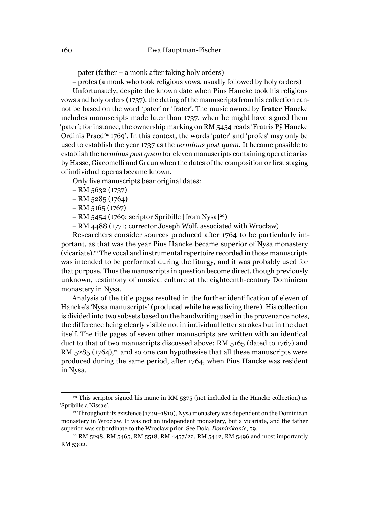– pater (father – a monk after taking holy orders)

– profes (a monk who took religious vows, usually followed by holy orders)

Unfortunately, despite the known date when Pius Hancke took his religious vows and holy orders (1737), the dating of the manuscripts from his collection cannot be based on the word 'pater' or 'frater'. The music owned by **frater** Hancke includes manuscripts made later than 1737, when he might have signed them 'pater'; for instance, the ownership marking on RM 5454 reads 'Fratris Pÿ Hancke Ordinis Praed'm 1769'. In this context, the words 'pater' and 'profes' may only be used to establish the year 1737 as the *terminus post quem*. It became possible to establish the *terminus post quem* for eleven manuscripts containing operatic arias by Hasse, Giacomelli and Graun when the dates of the composition or first staging of individual operas became known.

Only five manuscripts bear original dates:

- RM 5632 (1737)
- RM 5285 (1764)
- RM 5165 (1767)
- RM 5454 (1769; scriptor Spribille [from Nysa]<sup>20</sup>)
- RM 4488 (1771; corrector Joseph Wolf, associated with Wrocław)

Researchers consider sources produced after 1764 to be particularly important, as that was the year Pius Hancke became superior of Nysa monastery (vicariate).21 The vocal and instrumental repertoire recorded in those manuscripts was intended to be performed during the liturgy, and it was probably used for that purpose. Thus the manuscripts in question become direct, though previously unknown, testimony of musical culture at the eighteenth-century Dominican monastery in Nysa.

Analysis of the title pages resulted in the further identification of eleven of Hancke's 'Nysa manuscripts' (produced while he was living there). His collection is divided into two subsets based on the handwriting used in the provenance notes, the difference being clearly visible not in individual letter strokes but in the duct itself. The title pages of seven other manuscripts are written with an identical duct to that of two manuscripts discussed above: RM 5165 (dated to 1767) and RM  $5285$  (1764),<sup>22</sup> and so one can hypothesise that all these manuscripts were produced during the same period, after 1764, when Pius Hancke was resident in Nysa.

<sup>&</sup>lt;sup>20</sup> This scriptor signed his name in RM 5375 (not included in the Hancke collection) as 'Spribille a Nissae'. 21 Throughout its existence (1749–1810), Nysa monastery was dependent on the Dominican

monastery in Wrocław. It was not an independent monastery, but a vicariate, and the father superior was subordinate to the Wrocław prior. See Dola, *Dominikanie*, 59.

<sup>&</sup>lt;sup>22</sup> RM 5298, RM 5465, RM 5518, RM 4457/22, RM 5442, RM 5496 and most importantly RM 5302.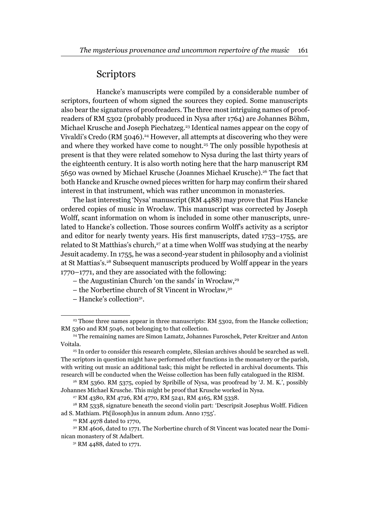### **Scriptors**

Hancke's manuscripts were compiled by a considerable number of scriptors, fourteen of whom signed the sources they copied. Some manuscripts also bear the signatures of proofreaders. The three most intriguing names of proofreaders of RM 5302 (probably produced in Nysa after 1764) are Johannes Böhm, Michael Krusche and Joseph Piechatzeg.23 Identical names appear on the copy of Vivaldi's Credo (RM 5046). $^{24}$  However, all attempts at discovering who they were and where they worked have come to nought.<sup>25</sup> The only possible hypothesis at present is that they were related somehow to Nysa during the last thirty years of the eighteenth century. It is also worth noting here that the harp manuscript RM 5650 was owned by Michael Krusche (Joannes Michael Krusche).26 The fact that both Hancke and Krusche owned pieces written for harp may confirm their shared interest in that instrument, which was rather uncommon in monasteries.

The last interesting 'Nysa' manuscript (RM 4488) may prove that Pius Hancke ordered copies of music in Wrocław. This manuscript was corrected by Joseph Wolff, scant information on whom is included in some other manuscripts, unrelated to Hancke's collection. Those sources confirm Wolff's activity as a scriptor and editor for nearly twenty years. His first manuscripts, dated  $1753-1755$ , are related to St Matthias's church,<sup>27</sup> at a time when Wolff was studying at the nearby Jesuit academy. In 1755, he was a second-year student in philosophy and a violinist at St Mattias's.28 Subsequent manuscripts produced by Wolff appear in the years 1770–1771, and they are associated with the following:

- the Augustinian Church 'on the sands' in Wrocław, $29$
- the Norbertine church of St Vincent in Wrocław,30
- Hancke's collection31.

<sup>&</sup>lt;sup>23</sup> Those three names appear in three manuscripts: RM 5302, from the Hancke collection; RM 5360 and RM 5046, not belonging to that collection.

<sup>24</sup> The remaining names are Simon Lamatz, Johannes Furoschek, Peter Kreitzer and Anton Voitala.

<sup>&</sup>lt;sup>25</sup> In order to consider this research complete, Silesian archives should be searched as well. The scriptors in question might have performed other functions in the monastery or the parish, with writing out music an additional task; this might be reflected in archival documents. This research will be conducted when the Weisse collection has been fully catalogued in the RISM.

 $26$  RM 5360. RM 5375, copied by Spribille of Nysa, was proofread by  $\ddot{J}$ . M. K.', possibly Johannes Michael Krusche. This might be proof that Krusche worked in Nysa.

<sup>27</sup> RM 4380, RM 4726, RM 4770, RM 5241, RM 4165, RM 5338.

<sup>&</sup>lt;sup>28</sup> RM 5338, signature beneath the second violin part: 'Descripsit Josephus Wolff. Fidicen ad S. Mathiam. Ph[ilosoph]us in annum 2dum. Anno 1755'.

<sup>29</sup> RM 4978 dated to 1770,

<sup>&</sup>lt;sup>30</sup> RM 4606, dated to 1771. The Norbertine church of St Vincent was located near the Dominican monastery of St Adalbert.

<sup>31</sup> RM 4488, dated to 1771.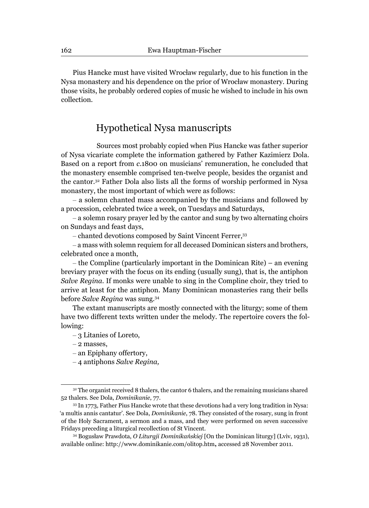Pius Hancke must have visited Wrocław regularly, due to his function in the Nysa monastery and his dependence on the prior of Wrocław monastery. During those visits, he probably ordered copies of music he wished to include in his own collection.

# Hypothetical Nysa manuscripts

Sources most probably copied when Pius Hancke was father superior of Nysa vicariate complete the information gathered by Father Kazimierz Dola. Based on a report from *c*.1800 on musicians' remuneration, he concluded that the monastery ensemble comprised ten-twelve people, besides the organist and the cantor.32 Father Dola also lists all the forms of worship performed in Nysa monastery, the most important of which were as follows:

– a solemn chanted mass accompanied by the musicians and followed by a procession, celebrated twice a week, on Tuesdays and Saturdays,

– a solemn rosary prayer led by the cantor and sung by two alternating choirs on Sundays and feast days,

– chanted devotions composed by Saint Vincent Ferrer,33

– a mass with solemn requiem for all deceased Dominican sisters and brothers, celebrated once a month,

– the Compline (particularly important in the Dominican Rite) – an evening breviary prayer with the focus on its ending (usually sung), that is, the antiphon *Salve Regina*. If monks were unable to sing in the Compline choir, they tried to arrive at least for the antiphon. Many Dominican monasteries rang their bells before *Salve Regina* was sung.34

The extant manuscripts are mostly connected with the liturgy; some of them have two different texts written under the melody. The repertoire covers the following:

– 3 Litanies of Loreto,

– 2 masses,

- an Epiphany offertory,
- 4 antiphons *Salve Regina,*

 $32$  The organist received 8 thalers, the cantor 6 thalers, and the remaining musicians shared 52 thalers. See Dola, *Dominikanie*, 77.

<sup>33</sup> In 1773, Father Pius Hancke wrote that these devotions had a very long tradition in Nysa: 'a multis annis cantatur'. See Dola, *Dominikanie*, 78. They consisted of the rosary, sung in front of the Holy Sacrament, a sermon and a mass, and they were performed on seven successive Fridays preceding a liturgical recollection of St Vincent.

<sup>34</sup> Bogusław Prawdota, *O Liturgji Dominikańskiej* [On the Dominican liturgy] (Lviv, 1931), available online: http://www.dominikanie.com/olitop.htm**,** accessed 28 November 2011.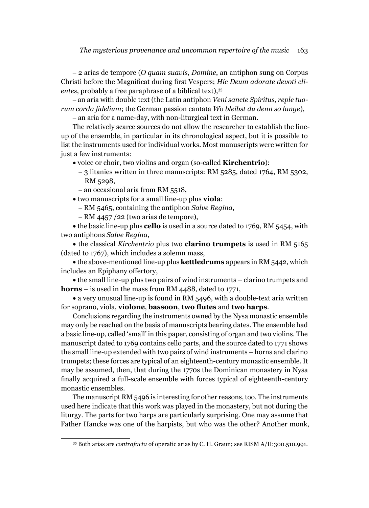– 2 arias de tempore (*O quam suavis, Domine*, an antiphon sung on Corpus Christi before the Magnificat during first Vespers; *Hic Deum adorate devoti cli*entes, probably a free paraphrase of a biblical text),<sup>35</sup>

– an aria with double text (the Latin antiphon *Veni sancte Spiritus, reple tuorum corda fi delium*; the German passion cantata *Wo bleibst du denn so lange*),

– an aria for a name-day, with non-liturgical text in German.

The relatively scarce sources do not allow the researcher to establish the lineup of the ensemble, in particular in its chronological aspect, but it is possible to list the instruments used for individual works. Most manuscripts were written for just a few instruments:

- voice or choir, two violins and organ (so-called **Kirchentrio**):
	- 3 litanies written in three manuscripts: RM 5285, dated 1764, RM 5302, RM 5298,
	- an occasional aria from RM 5518,
- two manuscripts for a small line-up plus **viola**:
	- RM 5465, containing the antiphon *Salve Regina*,
	- RM 4457 /22 (two arias de tempore),

the basic line-up plus **cello** is used in a source dated to 1769, RM 5454, with two antiphons *Salve Regina*,

the classical *Kirchentrio* plus two **clarino trumpets** is used in RM 5165 (dated to 1767), which includes a solemn mass,

the above-mentioned line-up plus **kettledrums** appears in RM 5442, which includes an Epiphany offertory,

the small line-up plus two pairs of wind instruments – clarino trumpets and **horns** – is used in the mass from RM 4488, dated to 1771,

a very unusual line-up is found in RM 5496, with a double-text aria written for soprano, viola, **violone**, **bassoon**, **two flutes** and **two harps**.

Conclusions regarding the instruments owned by the Nysa monastic ensemble may only be reached on the basis of manuscripts bearing dates. The ensemble had a basic line-up, called 'small' in this paper, consisting of organ and two violins. The manuscript dated to 1769 contains cello parts, and the source dated to 1771 shows the small line-up extended with two pairs of wind instruments – horns and clarino trumpets; these forces are typical of an eighteenth-century monastic ensemble. It may be assumed, then, that during the 1770s the Dominican monastery in Nysa finally acquired a full-scale ensemble with forces typical of eighteenth-century monastic ensembles.

The manuscript RM 5496 is interesting for other reasons, too. The instruments used here indicate that this work was played in the monastery, but not during the liturgy. The parts for two harps are particularly surprising. One may assume that Father Hancke was one of the harpists, but who was the other? Another monk,

<sup>35</sup> Both arias are *contrafacta* of operatic arias by C. H. Graun; see RISM A/II:300.510.991.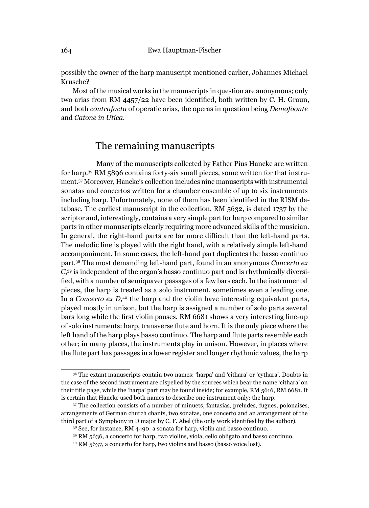possibly the owner of the harp manuscript mentioned earlier, Johannes Michael Krusche?

Most of the musical works in the manuscripts in question are anonymous; only two arias from RM 4457/22 have been identified, both written by C. H. Graun, and both *contrafacta* of operatic arias, the operas in question being *Demofoonte* and *Catone in Utica.*

# The remaining manuscripts

Many of the manuscripts collected by Father Pius Hancke are written for harp.36 RM 5896 contains forty-six small pieces, some written for that instrument.37 Moreover, Hancke's collection includes nine manuscripts with instrumental sonatas and concertos written for a chamber ensemble of up to six instruments including harp. Unfortunately, none of them has been identified in the RISM database. The earliest manuscript in the collection, RM 5632, is dated 1737 by the scriptor and, interestingly, contains a very simple part for harp compared to similar parts in other manuscripts clearly requiring more advanced skills of the musician. In general, the right-hand parts are far more difficult than the left-hand parts. The melodic line is played with the right hand, with a relatively simple left-hand accompaniment. In some cases, the left-hand part duplicates the basso continuo part.38 The most demanding left-hand part, found in an anonymous *Concerto ex C*, 39 is independent of the organ's basso continuo part and is rhythmically diversified, with a number of semiquaver passages of a few bars each. In the instrumental pieces, the harp is treated as a solo instrument, sometimes even a leading one. In a *Concerto ex D*, <sup>40</sup> the harp and the violin have interesting equivalent parts, played mostly in unison, but the harp is assigned a number of solo parts several bars long while the first violin pauses. RM 6681 shows a very interesting line-up of solo instruments: harp, transverse flute and horn. It is the only piece where the left hand of the harp plays basso continuo. The harp and flute parts resemble each other; in many places, the instruments play in unison. However, in places where the flute part has passages in a lower register and longer rhythmic values, the harp

<sup>36</sup> The extant manuscripts contain two names: 'harpa' and 'cithara' or 'cythara'. Doubts in the case of the second instrument are dispelled by the sources which bear the name 'cithara' on their title page, while the 'harpa' part may be found inside; for example, RM 5616, RM 6681. It is certain that Hancke used both names to describe one instrument only: the harp.

<sup>37</sup> The collection consists of a number of minuets, fantasias, preludes, fugues, polonaises, arrangements of German church chants, two sonatas, one concerto and an arrangement of the third part of a Symphony in D major by C. F. Abel (the only work identified by the author).

<sup>&</sup>lt;sup>38</sup> See, for instance, RM 4490: a sonata for harp, violin and basso continuo.

<sup>39</sup> RM 5636, a concerto for harp, two violins, viola, cello obligato and basso continuo.

<sup>40</sup> RM 5637, a concerto for harp, two violins and basso (basso voice lost).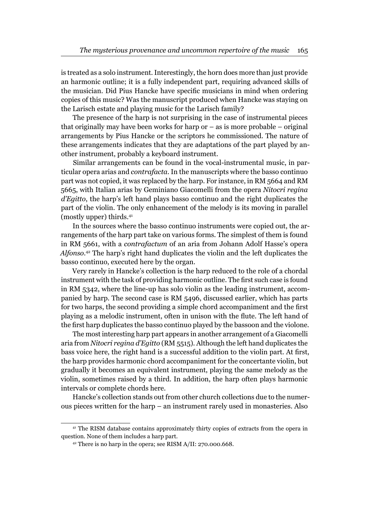is treated as a solo instrument. Interestingly, the horn does more than just provide an harmonic outline; it is a fully independent part, requiring advanced skills of the musician. Did Pius Hancke have specific musicians in mind when ordering copies of this music? Was the manuscript produced when Hancke was staying on the Larisch estate and playing music for the Larisch family?

The presence of the harp is not surprising in the case of instrumental pieces that originally may have been works for harp or – as is more probable – original arrangements by Pius Hancke or the scriptors he commissioned. The nature of these arrangements indicates that they are adaptations of the part played by another instrument, probably a keyboard instrument.

Similar arrangements can be found in the vocal-instrumental music, in particular opera arias and *contrafacta*. In the manuscripts where the basso continuo part was not copied, it was replaced by the harp. For instance, in RM 5664 and RM 5665, with Italian arias by Geminiano Giacomelli from the opera *Nitocri regina d'Egitto*, the harp's left hand plays basso continuo and the right duplicates the part of the violin. The only enhancement of the melody is its moving in parallel (mostly upper) thirds.41

In the sources where the basso continuo instruments were copied out, the arrangements of the harp part take on various forms. The simplest of them is found in RM 5661, with a *contrafactum* of an aria from Johann Adolf Hasse's opera *Alfonso.*42 The harp's right hand duplicates the violin and the left duplicates the basso continuo, executed here by the organ.

Very rarely in Hancke's collection is the harp reduced to the role of a chordal instrument with the task of providing harmonic outline. The first such case is found in RM 5342, where the line-up has solo violin as the leading instrument, accompanied by harp. The second case is RM 5496, discussed earlier, which has parts for two harps, the second providing a simple chord accompaniment and the first playing as a melodic instrument, often in unison with the flute. The left hand of the first harp duplicates the basso continuo played by the bassoon and the violone.

The most interesting harp part appears in another arrangement of a Giacomelli aria from *Nitocri regina d'Egitto* (RM 5515). Although the left hand duplicates the bass voice here, the right hand is a successful addition to the violin part. At first, the harp provides harmonic chord accompaniment for the concertante violin, but gradually it becomes an equivalent instrument, playing the same melody as the violin, sometimes raised by a third. In addition, the harp often plays harmonic intervals or complete chords here.

Hancke's collection stands out from other church collections due to the numerous pieces written for the harp – an instrument rarely used in monasteries. Also

<sup>41</sup> The RISM database contains approximately thirty copies of extracts from the opera in question. None of them includes a harp part.

<sup>42</sup> There is no harp in the opera; see RISM A/II: 270.000.668.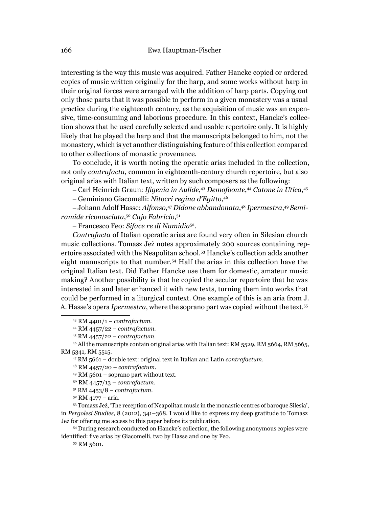interesting is the way this music was acquired. Father Hancke copied or ordered copies of music written originally for the harp, and some works without harp in their original forces were arranged with the addition of harp parts. Copying out only those parts that it was possible to perform in a given monastery was a usual practice during the eighteenth century, as the acquisition of music was an expensive, time-consuming and laborious procedure. In this context, Hancke's collection shows that he used carefully selected and usable repertoire only. It is highly likely that he played the harp and that the manuscripts belonged to him, not the monastery, which is yet another distinguishing feature of this collection compared to other collections of monastic provenance.

To conclude, it is worth noting the operatic arias included in the collection, not only *contrafacta*, common in eighteenth-century church repertoire, but also original arias with Italian text, written by such composers as the following:

– Carl Heinrich Graun: *Ifigenia in Aulide,*43 Demofoonte,44 Catone in Utica,45

– Geminiano Giacomelli: *Nitocri regina d'Egitto*, 46

– Johann Adolf Hasse: *Alfonso*, <sup>47</sup> *Didone abbandonata*, <sup>48</sup> *Ipermestra*, <sup>49</sup> *Semiramide riconosciuta*, <sup>50</sup> *Cajo Fabricio*, 51

– Francesco Feo: *Siface re di Numidia*52.

*Contrafacta* of Italian operatic arias are found very often in Silesian church music collections. Tomasz Jeż notes approximately 200 sources containing repertoire associated with the Neapolitan school.53 Hancke's collection adds another eight manuscripts to that number.54 Half the arias in this collection have the original Italian text. Did Father Hancke use them for domestic, amateur music making? Another possibility is that he copied the secular repertoire that he was interested in and later enhanced it with new texts, turning them into works that could be performed in a liturgical context. One example of this is an aria from J. A. Hasse's opera *Ipermestra*, where the soprano part was copied without the text.55

43 RM 4401/1 – *contrafactum*.

44 RM 4457/22 – *contrafactum*.

45 RM 4457/22 – *contrafactum*.

47 RM 5661 – double text: original text in Italian and Latin *contrafactum*.

48 RM 4457/20 – *contrafactum*.

 $49$  RM 5601 – soprano part without text.

50 RM 4457/13 – *contrafactum*.

51 RM 4453/8 – *contrafactum*.

52 RM 4177 – aria.

53 Tomasz Jeż, 'The reception of Neapolitan music in the monastic centres of baroque Silesia', in *Pergolesi Studies*, 8 (2012), 341–368. I would like to express my deep gratitude to Tomasz Jeż for offering me access to this paper before its publication.

54 During research conducted on Hancke's collection, the following anonymous copies were identified: five arias by Giacomelli, two by Hasse and one by Feo.

55 RM 5601.

<sup>&</sup>lt;sup>46</sup> All the manuscripts contain original arias with Italian text: RM 5529, RM 5664, RM 5665, RM 5341, RM 5515.